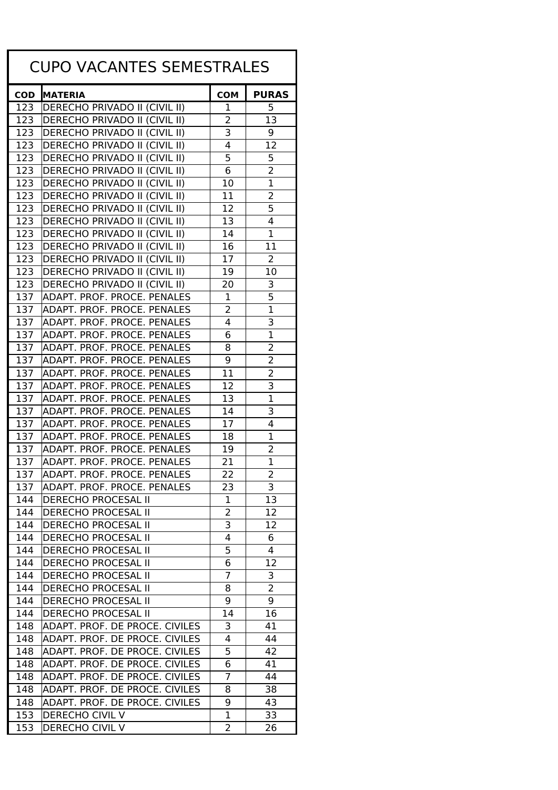| <b>CUPO VACANTES SEMESTRALES</b> |                                                                  |            |                |  |
|----------------------------------|------------------------------------------------------------------|------------|----------------|--|
| <b>COD</b>                       | <b>MATERIA</b>                                                   | <b>COM</b> | <b>PURAS</b>   |  |
| 123                              | DERECHO PRIVADO II (CIVIL II)                                    | 1          | 5              |  |
| 123                              | DERECHO PRIVADO II (CIVIL II)                                    | 2          | 13             |  |
| 123                              | DERECHO PRIVADO II (CIVIL II)                                    | 3          | 9              |  |
| 123                              | <b>DERECHO PRIVADO II (CIVIL II)</b>                             | 4          | 12             |  |
| 123                              | DERECHO PRIVADO II (CIVIL II)                                    | 5          | 5              |  |
| 123                              | DERECHO PRIVADO II (CIVIL II)                                    | 6          | $\overline{2}$ |  |
| 123                              | DERECHO PRIVADO II (CIVIL II)                                    | 10         | $\overline{1}$ |  |
| 123                              | <b>DERECHO PRIVADO II (CIVIL II)</b>                             | 11         | 2              |  |
| 123                              | DERECHO PRIVADO II (CIVIL II)                                    | 12         | 5              |  |
| 123                              | DERECHO PRIVADO II (CIVIL II)                                    | 13         | 4              |  |
| 123                              | DERECHO PRIVADO II (CIVIL II)                                    | 14         | $\mathbf{1}$   |  |
| 123                              | <b>DERECHO PRIVADO II (CIVIL II)</b>                             | 16         | 11             |  |
| 123                              | DERECHO PRIVADO II (CIVIL II)                                    | 17         | 2              |  |
| 123                              | DERECHO PRIVADO II (CIVIL II)                                    | 19         | 10             |  |
| 123                              | <b>DERECHO PRIVADO II (CIVIL II)</b>                             | 20         | 3              |  |
| 137                              | ADAPT. PROF. PROCE. PENALES                                      | 1          | 5              |  |
| 137                              | ADAPT. PROF. PROCE. PENALES                                      | 2          | $\mathbf{1}$   |  |
| 137                              | ADAPT. PROF. PROCE. PENALES                                      | 4          | 3              |  |
| 137                              | ADAPT. PROF. PROCE. PENALES                                      | 6          | $\overline{1}$ |  |
| 137                              | ADAPT. PROF. PROCE. PENALES                                      | 8          | $\overline{2}$ |  |
| 137                              | ADAPT. PROF. PROCE. PENALES                                      | 9          | $\overline{2}$ |  |
| 137                              | ADAPT. PROF. PROCE. PENALES                                      | 11         | $\overline{2}$ |  |
| 137                              | ADAPT. PROF. PROCE. PENALES                                      | 12         | 3              |  |
| 137                              | ADAPT. PROF. PROCE. PENALES                                      | 13         | $\overline{1}$ |  |
| 137                              | ADAPT. PROF. PROCE. PENALES                                      | 14         | 3              |  |
| 137                              | ADAPT. PROF. PROCE. PENALES                                      | 17         | 4              |  |
| 137                              | ADAPT. PROF. PROCE. PENALES                                      | 18         | $\mathbf{1}$   |  |
| 137                              | ADAPT. PROF. PROCE. PENALES                                      | 19         | $\overline{2}$ |  |
| 137                              | ADAPT. PROF. PROCE. PENALES                                      | 21         | 1              |  |
| 137                              | ADAPT. PROF. PROCE. PENALES                                      | 22         | ∠              |  |
| 137                              | ADAPT. PROF. PROCE. PENALES                                      | 23         | 3              |  |
| 144                              | <b>DERECHO PROCESAL II</b>                                       | 1          | 13             |  |
| 144                              | <b>DERECHO PROCESAL II</b>                                       | 2          | 12             |  |
| 144                              | <b>DERECHO PROCESAL II</b>                                       | 3          | 12             |  |
| 144                              | <b>DERECHO PROCESAL II</b>                                       | 4          | 6              |  |
| 144                              | <b>DERECHO PROCESAL II</b>                                       | 5          | 4              |  |
| 144                              | <b>DERECHO PROCESAL II</b>                                       | 6          | 12             |  |
| 144                              | <b>DERECHO PROCESAL II</b>                                       | 7          | 3              |  |
| 144                              | <b>DERECHO PROCESAL II</b>                                       | 8          | 2              |  |
| 144                              | <b>DERECHO PROCESAL II</b>                                       | 9          | 9              |  |
| 144                              | <b>DERECHO PROCESAL II</b>                                       | 14         | 16             |  |
| 148                              | ADAPT. PROF. DE PROCE. CIVILES                                   | 3          | 41             |  |
| 148                              | ADAPT. PROF. DE PROCE. CIVILES                                   | 4<br>5     | 44             |  |
| 148                              | ADAPT. PROF. DE PROCE. CIVILES                                   |            | 42             |  |
| 148                              | ADAPT. PROF. DE PROCE. CIVILES                                   | 6          | 41             |  |
| 148                              | ADAPT. PROF. DE PROCE. CIVILES                                   | 7          | 44             |  |
| 148<br>148                       | ADAPT. PROF. DE PROCE. CIVILES<br>ADAPT. PROF. DE PROCE. CIVILES | 8<br>9     | 38<br>43       |  |
| 153                              | DERECHO CIVIL V                                                  | 1          | 33             |  |
| 153                              | DERECHO CIVIL V                                                  | 2          | 26             |  |
|                                  |                                                                  |            |                |  |